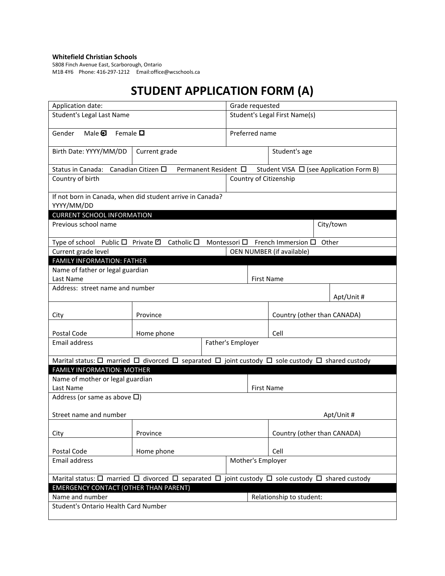## **Whitefield Christian Schools**

5808 Finch Avenue East, Scarborough, Ontario M1B 4Y6 Phone: 416-297-1212 Email:office@wcschools.ca

## **STUDENT APPLICATION FORM (A)**

| Application date:                                                                                                              |                    | Grade requested               |                |                          |                             |  |            |  |
|--------------------------------------------------------------------------------------------------------------------------------|--------------------|-------------------------------|----------------|--------------------------|-----------------------------|--|------------|--|
| <b>Student's Legal Last Name</b>                                                                                               |                    | Student's Legal First Name(s) |                |                          |                             |  |            |  |
| Female <b>Q</b><br>Gender<br>Male $\mathbf \Theta$                                                                             |                    |                               | Preferred name |                          |                             |  |            |  |
| Birth Date: YYYY/MM/DD<br>Current grade                                                                                        |                    |                               |                |                          | Student's age               |  |            |  |
| Status in Canada: Canadian Citizen □<br>Permanent Resident □<br>Student VISA □ (see Application Form B)                        |                    |                               |                |                          |                             |  |            |  |
| Country of birth<br>Country of Citizenship                                                                                     |                    |                               |                |                          |                             |  |            |  |
| If not born in Canada, when did student arrive in Canada?<br>YYYY/MM/DD                                                        |                    |                               |                |                          |                             |  |            |  |
| <b>CURRENT SCHOOL INFORMATION</b>                                                                                              |                    |                               |                |                          |                             |  |            |  |
| Previous school name                                                                                                           |                    |                               |                | City/town                |                             |  |            |  |
| Type of school Public □ Private □                                                                                              | Catholic $\square$ | Montessori $\square$          |                |                          | French Immersion $\square$  |  | Other      |  |
| Current grade level<br>OEN NUMBER (if available)<br><b>FAMILY INFORMATION: FATHER</b>                                          |                    |                               |                |                          |                             |  |            |  |
| Name of father or legal guardian                                                                                               |                    |                               |                |                          |                             |  |            |  |
| Last Name                                                                                                                      |                    |                               |                | <b>First Name</b>        |                             |  |            |  |
| Address: street name and number                                                                                                |                    |                               |                |                          |                             |  | Apt/Unit # |  |
| City                                                                                                                           | Province           |                               |                |                          | Country (other than CANADA) |  |            |  |
| Postal Code                                                                                                                    | Home phone         |                               |                |                          | Cell                        |  |            |  |
| <b>Email address</b>                                                                                                           | Father's Employer  |                               |                |                          |                             |  |            |  |
| Marital status: $\Box$ married $\Box$ divorced $\Box$ separated $\Box$ joint custody $\Box$ sole custody $\Box$ shared custody |                    |                               |                |                          |                             |  |            |  |
| <b>FAMILY INFORMATION: MOTHER</b>                                                                                              |                    |                               |                |                          |                             |  |            |  |
| Name of mother or legal guardian                                                                                               |                    |                               |                |                          |                             |  |            |  |
| Last Name                                                                                                                      |                    |                               |                |                          | <b>First Name</b>           |  |            |  |
| Address (or same as above $\Box$ )                                                                                             |                    |                               |                |                          |                             |  |            |  |
| Street name and number<br>Apt/Unit #                                                                                           |                    |                               |                |                          |                             |  |            |  |
| City                                                                                                                           | Province           |                               |                |                          | Country (other than CANADA) |  |            |  |
| Postal Code                                                                                                                    | Home phone         |                               |                |                          | Cell                        |  |            |  |
| Mother's Employer<br>Email address                                                                                             |                    |                               |                |                          |                             |  |            |  |
| Marital status: $\Box$ married $\Box$ divorced $\Box$ separated $\Box$ joint custody $\Box$ sole custody $\Box$ shared custody |                    |                               |                |                          |                             |  |            |  |
| <b>EMERGENCY CONTACT (OTHER THAN PARENT)</b>                                                                                   |                    |                               |                |                          |                             |  |            |  |
| Name and number                                                                                                                |                    |                               |                | Relationship to student: |                             |  |            |  |
| Student's Ontario Health Card Number                                                                                           |                    |                               |                |                          |                             |  |            |  |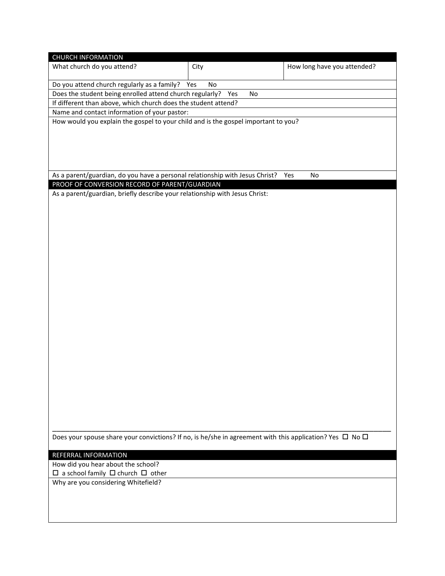| <b>CHURCH INFORMATION</b>                                                                                          |      |                             |  |  |  |  |  |  |
|--------------------------------------------------------------------------------------------------------------------|------|-----------------------------|--|--|--|--|--|--|
| What church do you attend?                                                                                         | City | How long have you attended? |  |  |  |  |  |  |
|                                                                                                                    |      |                             |  |  |  |  |  |  |
| Do you attend church regularly as a family? Yes                                                                    | No   |                             |  |  |  |  |  |  |
| Does the student being enrolled attend church regularly? Yes                                                       | No   |                             |  |  |  |  |  |  |
| If different than above, which church does the student attend?                                                     |      |                             |  |  |  |  |  |  |
| Name and contact information of your pastor:                                                                       |      |                             |  |  |  |  |  |  |
| How would you explain the gospel to your child and is the gospel important to you?                                 |      |                             |  |  |  |  |  |  |
|                                                                                                                    |      |                             |  |  |  |  |  |  |
|                                                                                                                    |      |                             |  |  |  |  |  |  |
|                                                                                                                    |      |                             |  |  |  |  |  |  |
|                                                                                                                    |      |                             |  |  |  |  |  |  |
| As a parent/guardian, do you have a personal relationship with Jesus Christ?                                       |      | No<br>Yes                   |  |  |  |  |  |  |
| PROOF OF CONVERSION RECORD OF PARENT/GUARDIAN                                                                      |      |                             |  |  |  |  |  |  |
| As a parent/guardian, briefly describe your relationship with Jesus Christ:                                        |      |                             |  |  |  |  |  |  |
|                                                                                                                    |      |                             |  |  |  |  |  |  |
|                                                                                                                    |      |                             |  |  |  |  |  |  |
|                                                                                                                    |      |                             |  |  |  |  |  |  |
|                                                                                                                    |      |                             |  |  |  |  |  |  |
|                                                                                                                    |      |                             |  |  |  |  |  |  |
|                                                                                                                    |      |                             |  |  |  |  |  |  |
|                                                                                                                    |      |                             |  |  |  |  |  |  |
|                                                                                                                    |      |                             |  |  |  |  |  |  |
|                                                                                                                    |      |                             |  |  |  |  |  |  |
|                                                                                                                    |      |                             |  |  |  |  |  |  |
|                                                                                                                    |      |                             |  |  |  |  |  |  |
|                                                                                                                    |      |                             |  |  |  |  |  |  |
|                                                                                                                    |      |                             |  |  |  |  |  |  |
|                                                                                                                    |      |                             |  |  |  |  |  |  |
|                                                                                                                    |      |                             |  |  |  |  |  |  |
|                                                                                                                    |      |                             |  |  |  |  |  |  |
|                                                                                                                    |      |                             |  |  |  |  |  |  |
|                                                                                                                    |      |                             |  |  |  |  |  |  |
|                                                                                                                    |      |                             |  |  |  |  |  |  |
|                                                                                                                    |      |                             |  |  |  |  |  |  |
|                                                                                                                    |      |                             |  |  |  |  |  |  |
|                                                                                                                    |      |                             |  |  |  |  |  |  |
|                                                                                                                    |      |                             |  |  |  |  |  |  |
|                                                                                                                    |      |                             |  |  |  |  |  |  |
|                                                                                                                    |      |                             |  |  |  |  |  |  |
| Does your spouse share your convictions? If no, is he/she in agreement with this application? Yes $\Box$ No $\Box$ |      |                             |  |  |  |  |  |  |
|                                                                                                                    |      |                             |  |  |  |  |  |  |
| REFERRAL INFORMATION                                                                                               |      |                             |  |  |  |  |  |  |
| How did you hear about the school?                                                                                 |      |                             |  |  |  |  |  |  |
| $\Box$ a school family $\Box$ church $\Box$ other                                                                  |      |                             |  |  |  |  |  |  |
| Why are you considering Whitefield?                                                                                |      |                             |  |  |  |  |  |  |
|                                                                                                                    |      |                             |  |  |  |  |  |  |
|                                                                                                                    |      |                             |  |  |  |  |  |  |
|                                                                                                                    |      |                             |  |  |  |  |  |  |
|                                                                                                                    |      |                             |  |  |  |  |  |  |